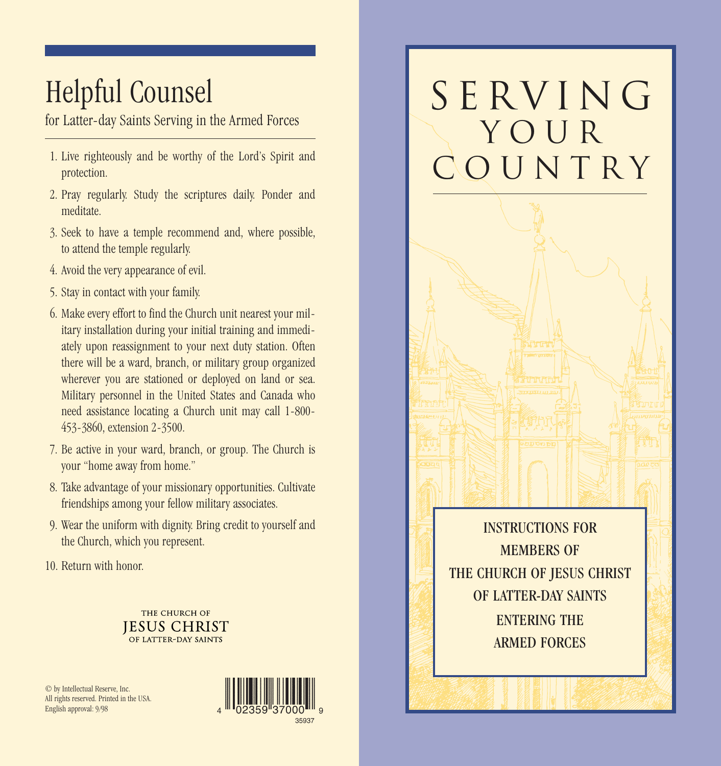## Helpful Counsel

for Latter-day Saints Serving in the Armed Forces

- 1. Live righteously and be worthy of the Lord's Spirit and protection.
- 2. Pray regularly. Study the scriptures daily. Ponder and meditate.
- 3. Seek to have a temple recommend and, where possible, to attend the temple regularly.
- 4. Avoid the very appearance of evil.
- 5. Stay in contact with your family.
- 6. Make every effort to find the Church unit nearest your military installation during your initial training and immediately upon reassignment to your next duty station. Often there will be a ward, branch, or military group organized wherever you are stationed or deployed on land or sea. Military personnel in the United States and Canada who need assistance locating a Church unit may call 1-800- 453-3860, extension 2-3500.
- 7. Be active in your ward, branch, or group. The Church is your "home away from home."
- 8. Take advantage of your missionary opportunities. Cultivate friendships among your fellow military associates.
- 9. Wear the uniform with dignity. Bring credit to yourself and the Church, which you represent.
- 10. Return with honor.



© by Intellectual Reserve, Inc. All rights reserved. Printed in the USA. English approval: 9/98



# SERVING yOur COUNTRY

INSTRUCTIONS FOR MEMBERS OF THE CHURCH OF JESUS CHRIST OF LATTER-DAY SAINTS ENTERING THE ARMED FORCES